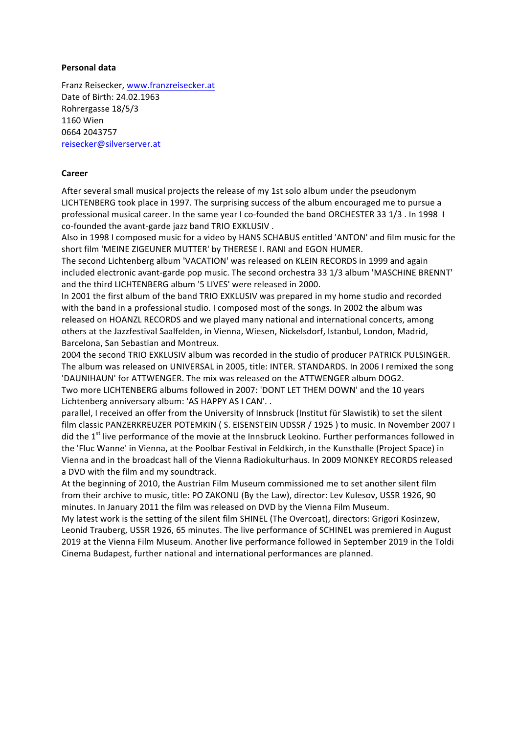## **Personal data**

Franz Reisecker, www.franzreisecker.at Date of Birth: 24.02.1963 Rohrergasse 18/5/3 1160 Wien 0664 2043757 reisecker@silverserver.at

## **Career**

After several small musical projects the release of my 1st solo album under the pseudonym LICHTENBERG took place in 1997. The surprising success of the album encouraged me to pursue a professional musical career. In the same year I co-founded the band ORCHESTER 33 1/3 . In 1998 I co-founded the avant-garde jazz band TRIO EXKLUSIV.

Also in 1998 I composed music for a video by HANS SCHABUS entitled 'ANTON' and film music for the short film 'MEINE ZIGEUNER MUTTER' by THERESE I. RANI and EGON HUMER.

The second Lichtenberg album 'VACATION' was released on KLEIN RECORDS in 1999 and again included electronic avant-garde pop music. The second orchestra 33 1/3 album 'MASCHINE BRENNT' and the third LICHTENBERG album '5 LIVES' were released in 2000.

In 2001 the first album of the band TRIO EXKLUSIV was prepared in my home studio and recorded with the band in a professional studio. I composed most of the songs. In 2002 the album was released on HOANZL RECORDS and we played many national and international concerts, among others at the Jazzfestival Saalfelden, in Vienna, Wiesen, Nickelsdorf, Istanbul, London, Madrid, Barcelona, San Sebastian and Montreux.

2004 the second TRIO EXKLUSIV album was recorded in the studio of producer PATRICK PULSINGER. The album was released on UNIVERSAL in 2005, title: INTER. STANDARDS. In 2006 I remixed the song 'DAUNIHAUN' for ATTWENGER. The mix was released on the ATTWENGER album DOG2.

Two more LICHTENBERG albums followed in 2007: 'DONT LET THEM DOWN' and the 10 years Lichtenberg anniversary album: 'AS HAPPY AS I CAN'..

parallel, I received an offer from the University of Innsbruck (Institut für Slawistik) to set the silent film classic PANZERKREUZER POTEMKIN (S. EISENSTEIN UDSSR / 1925) to music. In November 2007 I did the 1<sup>st</sup> live performance of the movie at the Innsbruck Leokino. Further performances followed in the 'Fluc Wanne' in Vienna, at the Poolbar Festival in Feldkirch, in the Kunsthalle (Project Space) in Vienna and in the broadcast hall of the Vienna Radiokulturhaus. In 2009 MONKEY RECORDS released a DVD with the film and my soundtrack.

At the beginning of 2010, the Austrian Film Museum commissioned me to set another silent film from their archive to music, title: PO ZAKONU (By the Law), director: Lev Kulesov, USSR 1926, 90 minutes. In January 2011 the film was released on DVD by the Vienna Film Museum.

My latest work is the setting of the silent film SHINEL (The Overcoat), directors: Grigori Kosinzew, Leonid Trauberg, USSR 1926, 65 minutes. The live performance of SCHINEL was premiered in August 2019 at the Vienna Film Museum. Another live performance followed in September 2019 in the Toldi Cinema Budapest, further national and international performances are planned.